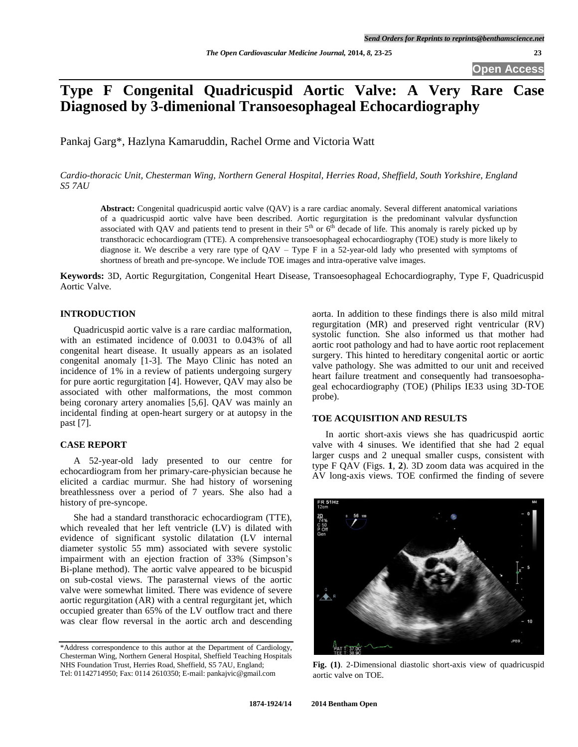# **Type F Congenital Quadricuspid Aortic Valve: A Very Rare Case Diagnosed by 3-dimenional Transoesophageal Echocardiography**

Pankaj Garg\*, Hazlyna Kamaruddin, Rachel Orme and Victoria Watt

*Cardio-thoracic Unit, Chesterman Wing, Northern General Hospital, Herries Road, Sheffield, South Yorkshire, England S5 7AU*

**Abstract:** Congenital quadricuspid aortic valve (QAV) is a rare cardiac anomaly. Several different anatomical variations of a quadricuspid aortic valve have been described. Aortic regurgitation is the predominant valvular dysfunction associated with QAV and patients tend to present in their  $5<sup>th</sup>$  or  $6<sup>th</sup>$  decade of life. This anomaly is rarely picked up by transthoracic echocardiogram (TTE). A comprehensive transoesophageal echocardiography (TOE) study is more likely to diagnose it. We describe a very rare type of QAV – Type F in a 52-year-old lady who presented with symptoms of shortness of breath and pre-syncope. We include TOE images and intra-operative valve images.

**Keywords:** 3D, Aortic Regurgitation, Congenital Heart Disease, Transoesophageal Echocardiography, Type F, Quadricuspid Aortic Valve.

## **INTRODUCTION**

Quadricuspid aortic valve is a rare cardiac malformation, with an estimated incidence of 0.0031 to 0.043% of all congenital heart disease. It usually appears as an isolated congenital anomaly [1-3]. The Mayo Clinic has noted an incidence of 1% in a review of patients undergoing surgery for pure aortic regurgitation [4]. However, QAV may also be associated with other malformations, the most common being coronary artery anomalies [5,6]. QAV was mainly an incidental finding at open-heart surgery or at autopsy in the past [7].

### **CASE REPORT**

A 52-year-old lady presented to our centre for echocardiogram from her primary-care-physician because he elicited a cardiac murmur. She had history of worsening breathlessness over a period of 7 years. She also had a history of pre-syncope.

She had a standard transthoracic echocardiogram (TTE), which revealed that her left ventricle (LV) is dilated with evidence of significant systolic dilatation (LV internal diameter systolic 55 mm) associated with severe systolic impairment with an ejection fraction of 33% (Simpson's Bi-plane method). The aortic valve appeared to be bicuspid on sub-costal views. The parasternal views of the aortic valve were somewhat limited. There was evidence of severe aortic regurgitation (AR) with a central regurgitant jet, which occupied greater than 65% of the LV outflow tract and there was clear flow reversal in the aortic arch and descending

aorta. In addition to these findings there is also mild mitral regurgitation (MR) and preserved right ventricular (RV) systolic function. She also informed us that mother had aortic root pathology and had to have aortic root replacement surgery. This hinted to hereditary congenital aortic or aortic valve pathology. She was admitted to our unit and received heart failure treatment and consequently had transoesophageal echocardiography (TOE) (Philips IE33 using 3D-TOE probe).

## **TOE ACQUISITION AND RESULTS**

In aortic short-axis views she has quadricuspid aortic valve with 4 sinuses. We identified that she had 2 equal larger cusps and 2 unequal smaller cusps, consistent with type F QAV (Figs. **1**, **2**). 3D zoom data was acquired in the AV long-axis views. TOE confirmed the finding of severe



**Fig. (1)**. 2-Dimensional diastolic short-axis view of quadricuspid aortic valve on TOE.

<sup>\*</sup>Address correspondence to this author at the Department of Cardiology, Chesterman Wing, Northern General Hospital, Sheffield Teaching Hospitals NHS Foundation Trust, Herries Road, Sheffield, S5 7AU, England; Tel: 01142714950; Fax: 0114 2610350; E-mail[: pankajvic@gmail.com](mailto:Pankaj.Garg@sth.nhs.uk)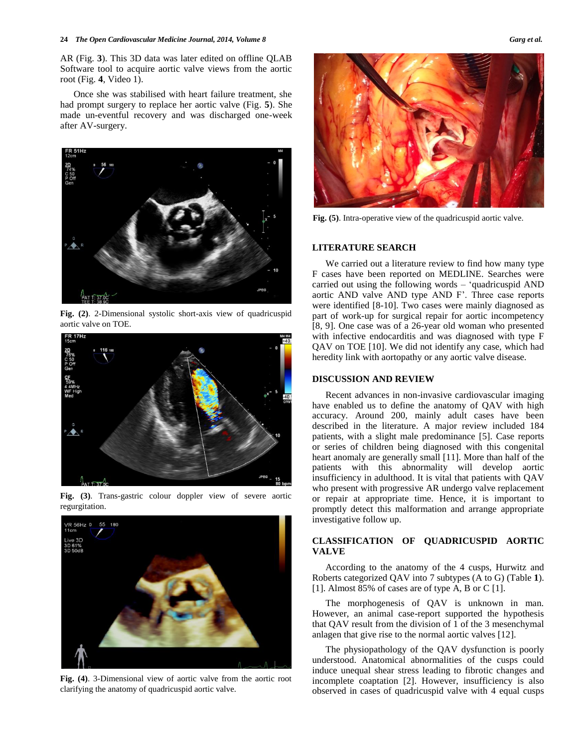#### **24** *The Open Cardiovascular Medicine Journal, 2014, Volume 8 Garg et al.*

AR (Fig. **3**). This 3D data was later edited on offline QLAB Software tool to acquire aortic valve views from the aortic root (Fig. **4**, Video 1).

Once she was stabilised with heart failure treatment, she had prompt surgery to replace her aortic valve (Fig. **5**). She made un-eventful recovery and was discharged one-week after AV-surgery.



**Fig. (2)**. 2-Dimensional systolic short-axis view of quadricuspid aortic valve on TOE.



**Fig. (3)**. Trans-gastric colour doppler view of severe aortic regurgitation.



**Fig. (4)**. 3-Dimensional view of aortic valve from the aortic root clarifying the anatomy of quadricuspid aortic valve.



**Fig. (5)**. Intra-operative view of the quadricuspid aortic valve.

## **LITERATURE SEARCH**

We carried out a literature review to find how many type F cases have been reported on MEDLINE. Searches were carried out using the following words – 'quadricuspid AND aortic AND valve AND type AND F'. Three case reports were identified [8-10]. Two cases were mainly diagnosed as part of work-up for surgical repair for aortic incompetency [8, 9]. One case was of a 26-year old woman who presented with infective endocarditis and was diagnosed with type F QAV on TOE [10]. We did not identify any case, which had heredity link with aortopathy or any aortic valve disease.

### **DISCUSSION AND REVIEW**

Recent advances in non-invasive cardiovascular imaging have enabled us to define the anatomy of QAV with high accuracy. Around 200, mainly adult cases have been described in the literature. A major review included 184 patients, with a slight male predominance [5]. Case reports or series of children being diagnosed with this congenital heart anomaly are generally small [11]. More than half of the patients with this abnormality will develop aortic insufficiency in adulthood. It is vital that patients with QAV who present with progressive AR undergo valve replacement or repair at appropriate time. Hence, it is important to promptly detect this malformation and arrange appropriate investigative follow up.

## **CLASSIFICATION OF QUADRICUSPID AORTIC VALVE**

According to the anatomy of the 4 cusps, Hurwitz and Roberts categorized QAV into 7 subtypes (A to G) (Table **1**). [1]. Almost 85% of cases are of type A, B or C [1].

The morphogenesis of QAV is unknown in man. However, an animal case-report supported the hypothesis that QAV result from the division of 1 of the 3 mesenchymal anlagen that give rise to the normal aortic valves [12].

The physiopathology of the QAV dysfunction is poorly understood. Anatomical abnormalities of the cusps could induce unequal shear stress leading to fibrotic changes and incomplete coaptation [2]. However, insufficiency is also observed in cases of quadricuspid valve with 4 equal cusps